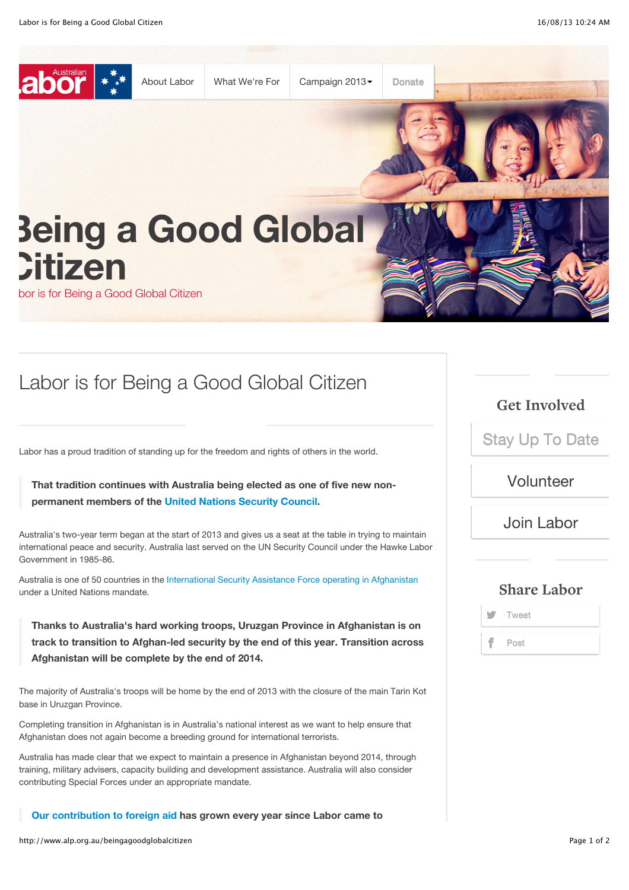

## Labor is for Being a Good Global Citizen

Labor has a proud tradition of standing up for the freedom and rights of others in the world.

**That tradition continues with Australia being elected as one of five new nonpermanent members of the [United Nations Security Council](http://australia-unsc.gov.au/).**

Australia's two-year term began at the start of 2013 and gives us a seat at the table in trying to maintain international peace and security. Australia last served on the UN Security Council under the Hawke Labor Government in 1985-86.

Australia is one of 50 countries in the [International Security Assistance Force operating in Afghanistan](http://www.defence.gov.au/op/afghanistan/info/factsheet.htm) under a United Nations mandate.

**Thanks to Australia's hard working troops, Uruzgan Province in Afghanistan is on track to transition to Afghan-led security by the end of this year. Transition across Afghanistan will be complete by the end of 2014.**

The majority of Australia's troops will be home by the end of 2013 with the closure of the main Tarin Kot base in Uruzgan Province.

Completing transition in Afghanistan is in Australia's national interest as we want to help ensure that Afghanistan does not again become a breeding ground for international terrorists.

Australia has made clear that we expect to maintain a presence in Afghanistan beyond 2014, through training, military advisers, capacity building and development assistance. Australia will also consider contributing Special Forces under an appropriate mandate.

**[Our contribution to foreign aid](http://www.ausaid.gov.au/makediff/Pages/default.aspx) has grown every year since Labor came to**

**Get Involved**

[Stay Up To Date](http://www.alp.org.au/stay_updated)

[Volunteer](http://www.alp.org.au/volunteer)

[Join Labor](http://www.alp.org.au/joinlabor)

## **Share Labor**

**Tweet** Post